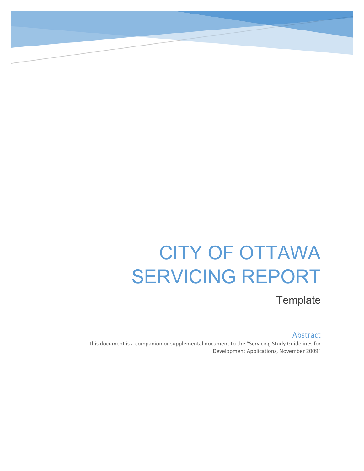# CITY OF OTTAWA SERVICING REPORT

**Template** 

#### Abstract

This document is a companion or supplemental document to the "Servicing Study Guidelines for Development Applications, November 2009"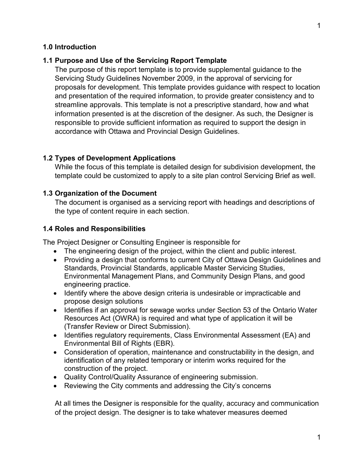#### <span id="page-1-0"></span>**1.0 Introduction**

#### **1.1 Purpose and Use of the Servicing Report Template**

The purpose of this report template is to provide supplemental guidance to the Servicing Study Guidelines November 2009, in the approval of servicing for proposals for development. This template provides guidance with respect to location and presentation of the required information, to provide greater consistency and to streamline approvals. This template is not a prescriptive standard, how and what information presented is at the discretion of the designer. As such, the Designer is responsible to provide sufficient information as required to support the design in accordance with Ottawa and Provincial Design Guidelines.

#### **1.2 Types of Development Applications**

While the focus of this template is detailed design for subdivision development, the template could be customized to apply to a site plan control Servicing Brief as well.

#### **1.3 Organization of the Document**

The document is organised as a servicing report with headings and descriptions of the type of content require in each section.

#### **1.4 Roles and Responsibilities**

The Project Designer or Consulting Engineer is responsible for

- The engineering design of the project, within the client and public interest.
- Providing a design that conforms to current City of Ottawa Design Guidelines and Standards, Provincial Standards, applicable Master Servicing Studies, Environmental Management Plans, and Community Design Plans, and good engineering practice.
- Identify where the above design criteria is undesirable or impracticable and propose design solutions
- Identifies if an approval for sewage works under Section 53 of the Ontario Water Resources Act (OWRA) is required and what type of application it will be (Transfer Review or Direct Submission).
- Identifies regulatory requirements, Class Environmental Assessment (EA) and Environmental Bill of Rights (EBR).
- Consideration of operation, maintenance and constructability in the design, and identification of any related temporary or interim works required for the construction of the project.
- Quality Control/Quality Assurance of engineering submission.
- Reviewing the City comments and addressing the City's concerns

At all times the Designer is responsible for the quality, accuracy and communication of the project design. The designer is to take whatever measures deemed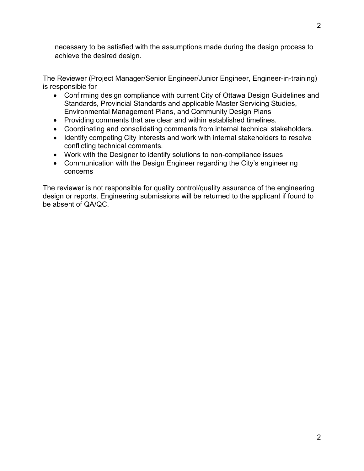necessary to be satisfied with the assumptions made during the design process to achieve the desired design.

The Reviewer (Project Manager/Senior Engineer/Junior Engineer, Engineer-in-training) is responsible for

- Confirming design compliance with current City of Ottawa Design Guidelines and Standards, Provincial Standards and applicable Master Servicing Studies, Environmental Management Plans, and Community Design Plans
- Providing comments that are clear and within established timelines.
- Coordinating and consolidating comments from internal technical stakeholders.
- Identify competing City interests and work with internal stakeholders to resolve conflicting technical comments.
- Work with the Designer to identify solutions to non-compliance issues
- Communication with the Design Engineer regarding the City's engineering concerns

The reviewer is not responsible for quality control/quality assurance of the engineering design or reports. Engineering submissions will be returned to the applicant if found to be absent of QA/QC.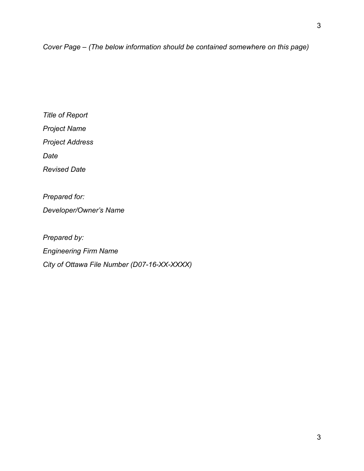*Title of Report Project Name Project Address Date*

*Revised Date*

*Prepared for:* 

*Developer/Owner's Name*

*Prepared by: Engineering Firm Name City of Ottawa File Number (D07-16-XX-XXXX)*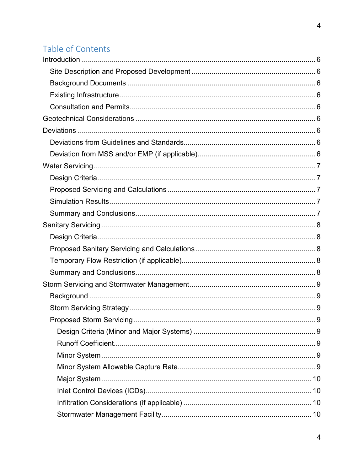## Table of Contents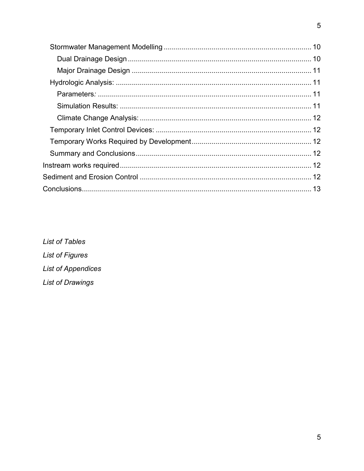List of Tables **List of Figures List of Appendices** List of Drawings

 $\overline{5}$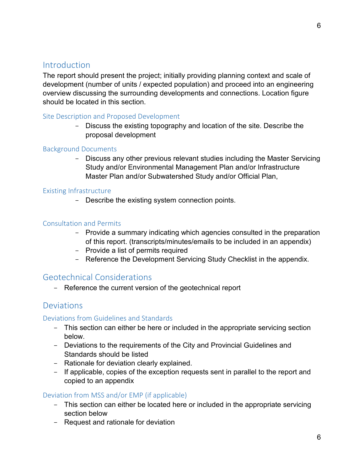## **Introduction**

The report should present the project; initially providing planning context and scale of development (number of units / expected population) and proceed into an engineering overview discussing the surrounding developments and connections. Location figure should be located in this section.

#### <span id="page-6-0"></span>Site Description and Proposed Development

- Discuss the existing topography and location of the site. Describe the proposal development

#### <span id="page-6-1"></span>Background Documents

- Discuss any other previous relevant studies including the Master Servicing Study and/or Environmental Management Plan and/or Infrastructure Master Plan and/or Subwatershed Study and/or Official Plan,

#### <span id="page-6-2"></span>Existing Infrastructure

- Describe the existing system connection points.

#### <span id="page-6-3"></span>Consultation and Permits

- Provide a summary indicating which agencies consulted in the preparation of this report. (transcripts/minutes/emails to be included in an appendix)
- Provide a list of permits required
- Reference the Development Servicing Study Checklist in the appendix.

#### <span id="page-6-4"></span>Geotechnical Considerations

- Reference the current version of the geotechnical report

#### <span id="page-6-5"></span>**Deviations**

#### <span id="page-6-6"></span>Deviations from Guidelines and Standards

- This section can either be here or included in the appropriate servicing section below.
- Deviations to the requirements of the City and Provincial Guidelines and Standards should be listed
- Rationale for deviation clearly explained.
- If applicable, copies of the exception requests sent in parallel to the report and copied to an appendix

#### <span id="page-6-7"></span>Deviation from MSS and/or EMP (if applicable)

- This section can either be located here or included in the appropriate servicing section below
- Request and rationale for deviation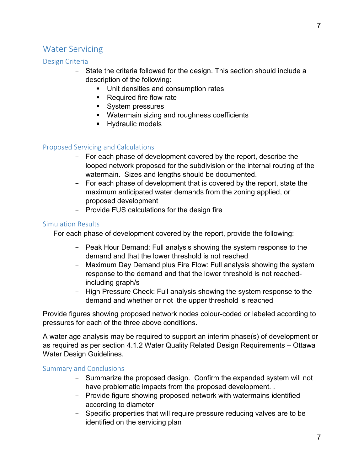## <span id="page-7-0"></span>Water Servicing

#### <span id="page-7-1"></span>Design Criteria

- State the criteria followed for the design. This section should include a description of the following:
	- Unit densities and consumption rates
	- Required fire flow rate
	- System pressures
	- Watermain sizing and roughness coefficients
	- Hydraulic models

#### <span id="page-7-2"></span>Proposed Servicing and Calculations

- For each phase of development covered by the report, describe the looped network proposed for the subdivision or the internal routing of the watermain. Sizes and lengths should be documented.
- For each phase of development that is covered by the report, state the maximum anticipated water demands from the zoning applied, or proposed development
- Provide FUS calculations for the design fire

#### <span id="page-7-3"></span>Simulation Results

For each phase of development covered by the report, provide the following:

- Peak Hour Demand: Full analysis showing the system response to the demand and that the lower threshold is not reached
- Maximum Day Demand plus Fire Flow: Full analysis showing the system response to the demand and that the lower threshold is not reachedincluding graph/s
- High Pressure Check: Full analysis showing the system response to the demand and whether or not the upper threshold is reached

Provide figures showing proposed network nodes colour-coded or labeled according to pressures for each of the three above conditions.

A water age analysis may be required to support an interim phase(s) of development or as required as per section 4.1.2 Water Quality Related Design Requirements – Ottawa Water Design Guidelines.

#### <span id="page-7-4"></span>Summary and Conclusions

- Summarize the proposed design. Confirm the expanded system will not have problematic impacts from the proposed development. .
- Provide figure showing proposed network with watermains identified according to diameter
- Specific properties that will require pressure reducing valves are to be identified on the servicing plan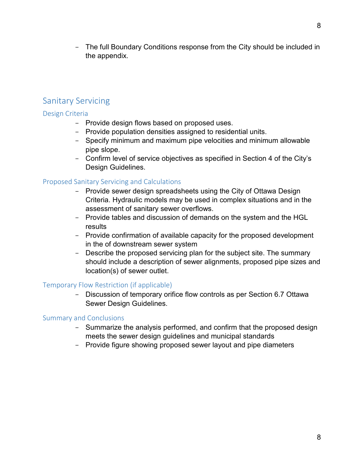- The full Boundary Conditions response from the City should be included in the appendix.

## <span id="page-8-0"></span>Sanitary Servicing

#### <span id="page-8-1"></span>Design Criteria

- Provide design flows based on proposed uses.
- Provide population densities assigned to residential units.
- Specify minimum and maximum pipe velocities and minimum allowable pipe slope.
- Confirm level of service objectives as specified in Section 4 of the City's Design Guidelines.

#### <span id="page-8-2"></span>Proposed Sanitary Servicing and Calculations

- Provide sewer design spreadsheets using the City of Ottawa Design Criteria. Hydraulic models may be used in complex situations and in the assessment of sanitary sewer overflows.
- Provide tables and discussion of demands on the system and the HGL results
- Provide confirmation of available capacity for the proposed development in the of downstream sewer system
- Describe the proposed servicing plan for the subject site. The summary should include a description of sewer alignments, proposed pipe sizes and location(s) of sewer outlet.

#### <span id="page-8-3"></span>Temporary Flow Restriction (if applicable)

- Discussion of temporary orifice flow controls as per Section 6.7 Ottawa Sewer Design Guidelines.

#### <span id="page-8-4"></span>Summary and Conclusions

- Summarize the analysis performed, and confirm that the proposed design meets the sewer design guidelines and municipal standards
- Provide figure showing proposed sewer layout and pipe diameters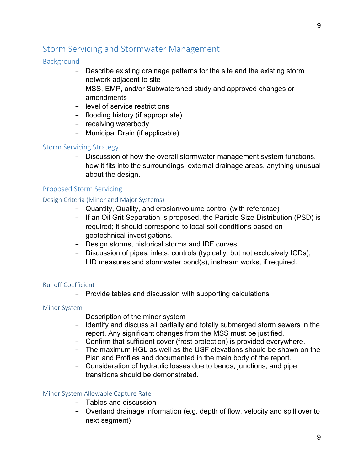## <span id="page-9-0"></span>Storm Servicing and Stormwater Management

#### <span id="page-9-1"></span>**Background**

- Describe existing drainage patterns for the site and the existing storm network adjacent to site
- MSS, EMP, and/or Subwatershed study and approved changes or amendments
- level of service restrictions
- flooding history (if appropriate)
- receiving waterbody
- Municipal Drain (if applicable)

#### <span id="page-9-2"></span>Storm Servicing Strategy

- Discussion of how the overall stormwater management system functions, how it fits into the surroundings, external drainage areas, anything unusual about the design.

#### <span id="page-9-3"></span>Proposed Storm Servicing

#### <span id="page-9-4"></span>Design Criteria (Minor and Major Systems)

- Quantity, Quality, and erosion/volume control (with reference)
- If an Oil Grit Separation is proposed, the Particle Size Distribution (PSD) is required; it should correspond to local soil conditions based on geotechnical investigations.
- Design storms, historical storms and IDF curves
- Discussion of pipes, inlets, controls (typically, but not exclusively ICDs), LID measures and stormwater pond(s), instream works, if required.

#### <span id="page-9-5"></span>Runoff Coefficient

- Provide tables and discussion with supporting calculations

#### <span id="page-9-6"></span>Minor System

- Description of the minor system
- Identify and discuss all partially and totally submerged storm sewers in the report. Any significant changes from the MSS must be justified.
- Confirm that sufficient cover (frost protection) is provided everywhere.
- The maximum HGL as well as the USF elevations should be shown on the Plan and Profiles and documented in the main body of the report.
- Consideration of hydraulic losses due to bends, junctions, and pipe transitions should be demonstrated.

#### <span id="page-9-7"></span>Minor System Allowable Capture Rate

- Tables and discussion
- Overland drainage information (e.g. depth of flow, velocity and spill over to next segment)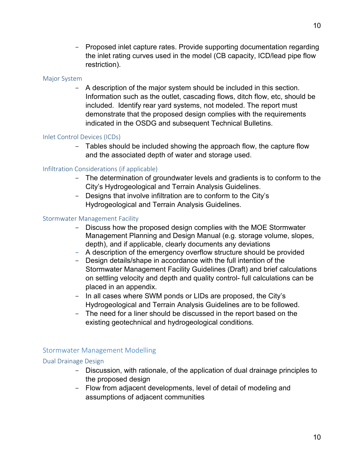- Proposed inlet capture rates. Provide supporting documentation regarding the inlet rating curves used in the model (CB capacity, ICD/lead pipe flow restriction).

#### <span id="page-10-0"></span>Major System

- A description of the major system should be included in this section. Information such as the outlet, cascading flows, ditch flow, etc, should be included. Identify rear yard systems, not modeled. The report must demonstrate that the proposed design complies with the requirements indicated in the OSDG and subsequent Technical Bulletins.

#### <span id="page-10-1"></span>Inlet Control Devices (ICDs)

- Tables should be included showing the approach flow, the capture flow and the associated depth of water and storage used.

#### <span id="page-10-2"></span>Infiltration Considerations (if applicable)

- The determination of groundwater levels and gradients is to conform to the City's Hydrogeological and Terrain Analysis Guidelines.
- Designs that involve infiltration are to conform to the City's Hydrogeological and Terrain Analysis Guidelines.

#### <span id="page-10-3"></span>Stormwater Management Facility

- Discuss how the proposed design complies with the MOE Stormwater Management Planning and Design Manual (e.g. storage volume, slopes, depth), and if applicable, clearly documents any deviations
- A description of the emergency overflow structure should be provided
- Design details/shape in accordance with the full intention of the Stormwater Management Facility Guidelines (Draft) and brief calculations on settling velocity and depth and quality control- full calculations can be placed in an appendix.
- In all cases where SWM ponds or LIDs are proposed, the City's Hydrogeological and Terrain Analysis Guidelines are to be followed.
- The need for a liner should be discussed in the report based on the existing geotechnical and hydrogeological conditions.

#### <span id="page-10-4"></span>Stormwater Management Modelling

#### <span id="page-10-5"></span>Dual Drainage Design

- Discussion, with rationale, of the application of dual drainage principles to the proposed design
- Flow from adjacent developments, level of detail of modeling and assumptions of adjacent communities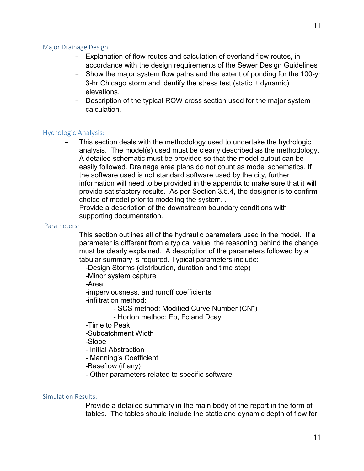#### <span id="page-11-0"></span>Major Drainage Design

- Explanation of flow routes and calculation of overland flow routes, in accordance with the design requirements of the Sewer Design Guidelines
- Show the major system flow paths and the extent of ponding for the 100-yr 3-hr Chicago storm and identify the stress test (static + dynamic) elevations.
- Description of the typical ROW cross section used for the major system calculation.

#### <span id="page-11-1"></span>Hydrologic Analysis:

- This section deals with the methodology used to undertake the hydrologic analysis. The model(s) used must be clearly described as the methodology. A detailed schematic must be provided so that the model output can be easily followed. Drainage area plans do not count as model schematics. If the software used is not standard software used by the city, further information will need to be provided in the appendix to make sure that it will provide satisfactory results. As per Section 3.5.4, the designer is to confirm choice of model prior to modeling the system. .
- Provide a description of the downstream boundary conditions with supporting documentation.

#### <span id="page-11-2"></span>Parameters *:*

This section outlines all of the hydraulic parameters used in the model. If a parameter is different from a typical value, the reasoning behind the change must be clearly explained. A description of the parameters followed by a tabular summary is required. Typical parameters include:

-Design Storms (distribution, duration and time step)

-Minor system capture

-Area,

-imperviousness, and runoff coefficients

-infiltration method:

- SCS method: Modified Curve Number (CN\*)

- Horton method: Fo, Fc and Dcay

- -Time to Peak
- -Subcatchment Width

-Slope

- Initial Abstraction
- Manning's Coefficient
- -Baseflow (if any)
- Other parameters related to specific software

#### <span id="page-11-3"></span>Simulation Results:

Provide a detailed summary in the main body of the report in the form of tables. The tables should include the static and dynamic depth of flow for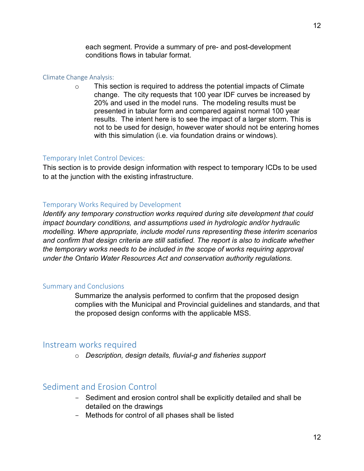each segment. Provide a summary of pre- and post-development conditions flows in tabular format.

#### <span id="page-12-0"></span>Climate Change Analysis:

 $\circ$  This section is required to address the potential impacts of Climate change. The city requests that 100 year IDF curves be increased by 20% and used in the model runs. The modeling results must be presented in tabular form and compared against normal 100 year results. The intent here is to see the impact of a larger storm. This is not to be used for design, however water should not be entering homes with this simulation (i.e. via foundation drains or windows).

#### <span id="page-12-1"></span>Temporary Inlet Control Devices:

This section is to provide design information with respect to temporary ICDs to be used to at the junction with the existing infrastructure.

#### <span id="page-12-2"></span>Temporary Works Required by Development

*Identify any temporary construction works required during site development that could impact boundary conditions, and assumptions used in hydrologic and/or hydraulic modelling. Where appropriate, include model runs representing these interim scenarios and confirm that design criteria are still satisfied. The report is also to indicate whether the temporary works needs to be included in the scope of works requiring approval under the Ontario Water Resources Act and conservation authority regulations.*

#### <span id="page-12-3"></span>Summary and Conclusions

Summarize the analysis performed to confirm that the proposed design complies with the Municipal and Provincial guidelines and standards, and that the proposed design conforms with the applicable MSS.

## <span id="page-12-4"></span>Instream works required

o *Description, design details, fluvial-g and fisheries support*

## <span id="page-12-5"></span>Sediment and Erosion Control

- Sediment and erosion control shall be explicitly detailed and shall be detailed on the drawings
- Methods for control of all phases shall be listed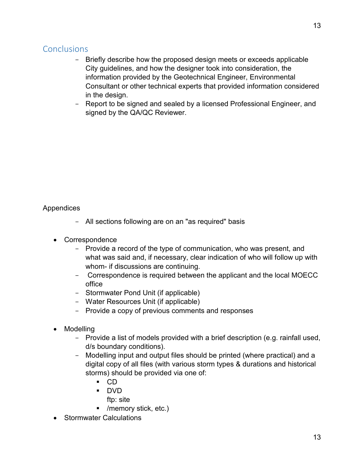## <span id="page-13-0"></span>**Conclusions**

- Briefly describe how the proposed design meets or exceeds applicable City guidelines, and how the designer took into consideration, the information provided by the Geotechnical Engineer, Environmental Consultant or other technical experts that provided information considered in the design.
- Report to be signed and sealed by a licensed Professional Engineer, and signed by the QA/QC Reviewer.

Appendices

- All sections following are on an "as required" basis -
- Correspondence
	- Provide a record of the type of communication, who was present, and what was said and, if necessary, clear indication of who will follow up with whom- if discussions are continuing.
	- Correspondence is required between the applicant and the local MOECC office
	- Stormwater Pond Unit (if applicable)
	- Water Resources Unit (if applicable)
	- Provide a copy of previous comments and responses
- Modelling
	- Provide a list of models provided with a brief description (e.g. rainfall used, d/s boundary conditions).
	- Modelling input and output files should be printed (where practical) and a digital copy of all files (with various storm types & durations and historical storms) should be provided via one of:
		- $\blacksquare$  CD
		- DVD
			- ftp: site
		- /memory stick, etc.)
- Stormwater Calculations